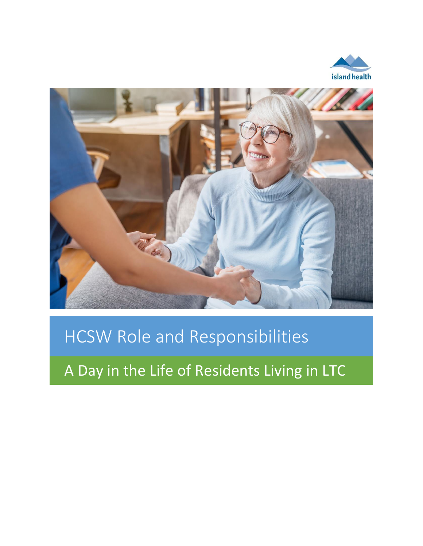



# HCSW Role and Responsibilities

A Day in the Life of Residents Living in LTC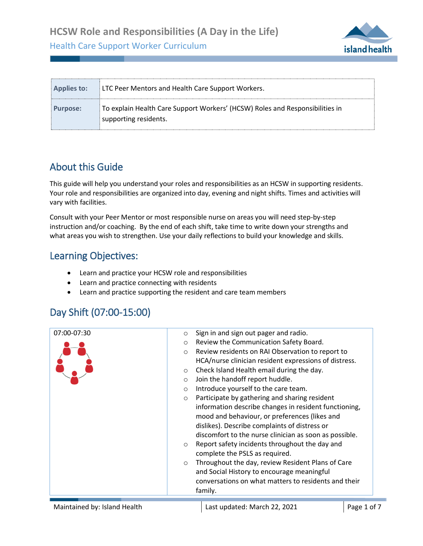**HCSW Role and Responsibilities (A Day in the Life)**

Health Care Support Worker Curriculum



### About this Guide

.

This guide will help you understand your roles and responsibilities as an HCSW in supporting residents. Your role and responsibilities are organized into day, evening and night shifts. Times and activities will vary with facilities.

Consult with your Peer Mentor or most responsible nurse on areas you will need step-by-step instruction and/or coaching. By the end of each shift, take time to write down your strengths and what areas you wish to strengthen. Use your daily reflections to build your knowledge and skills.

#### Learning Objectives:

- Learn and practice your HCSW role and responsibilities
- Learn and practice connecting with residents
- Learn and practice supporting the resident and care team members

#### Day Shift (07:00-15:00)

| 07:00-07:30 | Sign in and sign out pager and radio.<br>$\circ$             |
|-------------|--------------------------------------------------------------|
|             | Review the Communication Safety Board.<br>$\circ$            |
|             | Review residents on RAI Observation to report to<br>$\circ$  |
|             | HCA/nurse clinician resident expressions of distress.        |
|             | Check Island Health email during the day.<br>$\circ$         |
|             | Join the handoff report huddle.<br>$\circ$                   |
|             | Introduce yourself to the care team.<br>$\circ$              |
|             | Participate by gathering and sharing resident<br>$\circ$     |
|             | information describe changes in resident functioning,        |
|             | mood and behaviour, or preferences (likes and                |
|             | dislikes). Describe complaints of distress or                |
|             | discomfort to the nurse clinician as soon as possible.       |
|             | Report safety incidents throughout the day and<br>$\circ$    |
|             | complete the PSLS as required.                               |
|             | Throughout the day, review Resident Plans of Care<br>$\circ$ |
|             | and Social History to encourage meaningful                   |
|             | conversations on what matters to residents and their         |
|             | family.                                                      |
|             |                                                              |

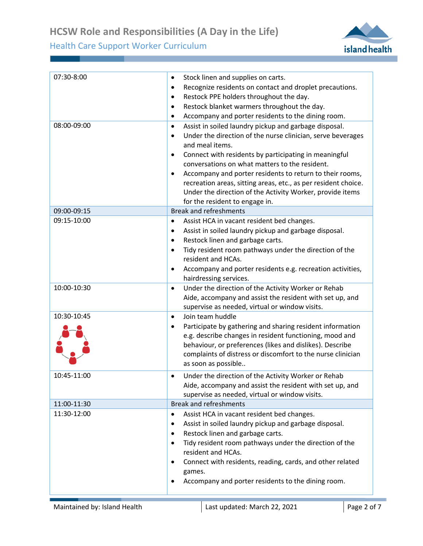

| 07:30-8:00<br>08:00-09:00 | Stock linen and supplies on carts.<br>$\bullet$<br>Recognize residents on contact and droplet precautions.<br>٠<br>Restock PPE holders throughout the day.<br>$\bullet$<br>Restock blanket warmers throughout the day.<br>$\bullet$<br>Accompany and porter residents to the dining room.<br>٠<br>Assist in soiled laundry pickup and garbage disposal.<br>$\bullet$                                                                                          |
|---------------------------|---------------------------------------------------------------------------------------------------------------------------------------------------------------------------------------------------------------------------------------------------------------------------------------------------------------------------------------------------------------------------------------------------------------------------------------------------------------|
|                           | Under the direction of the nurse clinician, serve beverages<br>$\bullet$<br>and meal items.<br>Connect with residents by participating in meaningful<br>$\bullet$<br>conversations on what matters to the resident.<br>Accompany and porter residents to return to their rooms,<br>$\bullet$<br>recreation areas, sitting areas, etc., as per resident choice.<br>Under the direction of the Activity Worker, provide items<br>for the resident to engage in. |
| 09:00-09:15               | <b>Break and refreshments</b>                                                                                                                                                                                                                                                                                                                                                                                                                                 |
| 09:15-10:00               | Assist HCA in vacant resident bed changes.<br>$\bullet$<br>Assist in soiled laundry pickup and garbage disposal.<br>$\bullet$<br>Restock linen and garbage carts.<br>$\bullet$<br>Tidy resident room pathways under the direction of the<br>$\bullet$<br>resident and HCAs.<br>Accompany and porter residents e.g. recreation activities,<br>٠<br>hairdressing services.                                                                                      |
| 10:00-10:30               | Under the direction of the Activity Worker or Rehab<br>$\bullet$<br>Aide, accompany and assist the resident with set up, and<br>supervise as needed, virtual or window visits.                                                                                                                                                                                                                                                                                |
| 10:30-10:45               | Join team huddle<br>$\bullet$<br>Participate by gathering and sharing resident information<br>$\bullet$<br>e.g. describe changes in resident functioning, mood and<br>behaviour, or preferences (likes and dislikes). Describe<br>complaints of distress or discomfort to the nurse clinician<br>as soon as possible                                                                                                                                          |
| 10:45-11:00               | Under the direction of the Activity Worker or Rehab<br>$\bullet$<br>Aide, accompany and assist the resident with set up, and<br>supervise as needed, virtual or window visits.                                                                                                                                                                                                                                                                                |
| 11:00-11:30               | <b>Break and refreshments</b>                                                                                                                                                                                                                                                                                                                                                                                                                                 |
| 11:30-12:00               | Assist HCA in vacant resident bed changes.<br>$\bullet$<br>Assist in soiled laundry pickup and garbage disposal.<br>$\bullet$<br>Restock linen and garbage carts.<br>$\bullet$<br>Tidy resident room pathways under the direction of the<br>$\bullet$<br>resident and HCAs.<br>Connect with residents, reading, cards, and other related<br>$\bullet$<br>games.<br>Accompany and porter residents to the dining room.<br>٠                                    |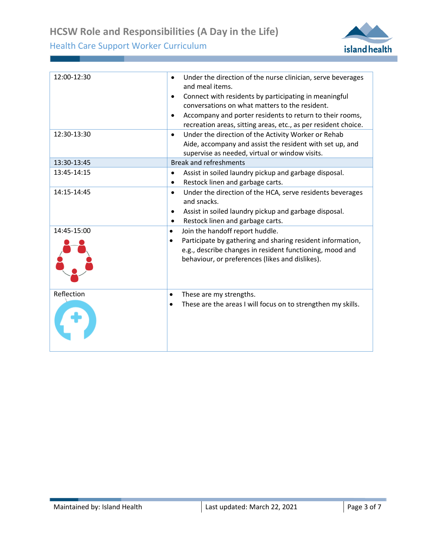

| 12:00-12:30 | Under the direction of the nurse clinician, serve beverages<br>$\bullet$<br>and meal items.<br>Connect with residents by participating in meaningful<br>$\bullet$<br>conversations on what matters to the resident.<br>Accompany and porter residents to return to their rooms,<br>$\bullet$<br>recreation areas, sitting areas, etc., as per resident choice. |
|-------------|----------------------------------------------------------------------------------------------------------------------------------------------------------------------------------------------------------------------------------------------------------------------------------------------------------------------------------------------------------------|
| 12:30-13:30 | Under the direction of the Activity Worker or Rehab<br>$\bullet$<br>Aide, accompany and assist the resident with set up, and<br>supervise as needed, virtual or window visits.                                                                                                                                                                                 |
| 13:30-13:45 | <b>Break and refreshments</b>                                                                                                                                                                                                                                                                                                                                  |
| 13:45-14:15 | Assist in soiled laundry pickup and garbage disposal.<br>$\bullet$<br>Restock linen and garbage carts.<br>$\bullet$                                                                                                                                                                                                                                            |
| 14:15-14:45 | Under the direction of the HCA, serve residents beverages<br>$\bullet$<br>and snacks.<br>Assist in soiled laundry pickup and garbage disposal.<br>$\bullet$<br>Restock linen and garbage carts.<br>٠                                                                                                                                                           |
| 14:45-15:00 | Join the handoff report huddle.<br>$\bullet$<br>Participate by gathering and sharing resident information,<br>e.g., describe changes in resident functioning, mood and<br>behaviour, or preferences (likes and dislikes).                                                                                                                                      |
| Reflection  | These are my strengths.<br>٠<br>These are the areas I will focus on to strengthen my skills.                                                                                                                                                                                                                                                                   |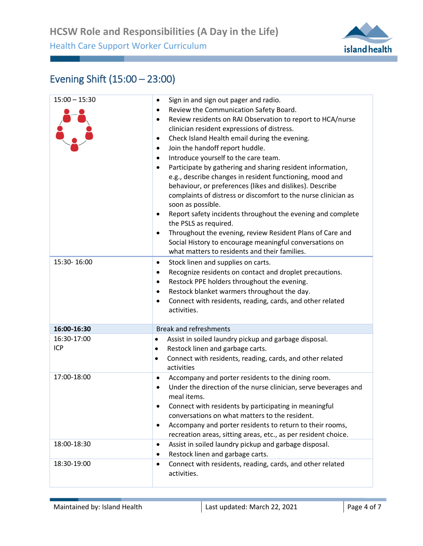

## Evening Shift (15:00 – 23:00)

| $15:00 - 15:30$<br>15:30-16:00 | Sign in and sign out pager and radio.<br>٠<br>Review the Communication Safety Board.<br>٠<br>Review residents on RAI Observation to report to HCA/nurse<br>٠<br>clinician resident expressions of distress.<br>Check Island Health email during the evening.<br>٠<br>Join the handoff report huddle.<br>٠<br>Introduce yourself to the care team.<br>$\bullet$<br>Participate by gathering and sharing resident information,<br>$\bullet$<br>e.g., describe changes in resident functioning, mood and<br>behaviour, or preferences (likes and dislikes). Describe<br>complaints of distress or discomfort to the nurse clinician as<br>soon as possible.<br>Report safety incidents throughout the evening and complete<br>٠<br>the PSLS as required.<br>Throughout the evening, review Resident Plans of Care and<br>٠<br>Social History to encourage meaningful conversations on<br>what matters to residents and their families.<br>Stock linen and supplies on carts.<br>٠<br>Recognize residents on contact and droplet precautions.<br>٠<br>Restock PPE holders throughout the evening.<br>$\bullet$<br>Restock blanket warmers throughout the day.<br>٠<br>Connect with residents, reading, cards, and other related<br>٠<br>activities. |
|--------------------------------|-------------------------------------------------------------------------------------------------------------------------------------------------------------------------------------------------------------------------------------------------------------------------------------------------------------------------------------------------------------------------------------------------------------------------------------------------------------------------------------------------------------------------------------------------------------------------------------------------------------------------------------------------------------------------------------------------------------------------------------------------------------------------------------------------------------------------------------------------------------------------------------------------------------------------------------------------------------------------------------------------------------------------------------------------------------------------------------------------------------------------------------------------------------------------------------------------------------------------------------------------|
| 16:00-16:30                    | <b>Break and refreshments</b>                                                                                                                                                                                                                                                                                                                                                                                                                                                                                                                                                                                                                                                                                                                                                                                                                                                                                                                                                                                                                                                                                                                                                                                                                   |
| 16:30-17:00<br><b>ICP</b>      | Assist in soiled laundry pickup and garbage disposal.<br>$\bullet$<br>Restock linen and garbage carts.<br>٠<br>Connect with residents, reading, cards, and other related<br>٠<br>activities                                                                                                                                                                                                                                                                                                                                                                                                                                                                                                                                                                                                                                                                                                                                                                                                                                                                                                                                                                                                                                                     |
| 17:00-18:00                    | Accompany and porter residents to the dining room.<br>$\bullet$<br>Under the direction of the nurse clinician, serve beverages and<br>$\bullet$<br>meal items.<br>Connect with residents by participating in meaningful<br>٠<br>conversations on what matters to the resident.<br>Accompany and porter residents to return to their rooms,<br>٠<br>recreation areas, sitting areas, etc., as per resident choice.                                                                                                                                                                                                                                                                                                                                                                                                                                                                                                                                                                                                                                                                                                                                                                                                                               |
| 18:00-18:30                    | Assist in soiled laundry pickup and garbage disposal.<br>$\bullet$<br>Restock linen and garbage carts.<br>٠                                                                                                                                                                                                                                                                                                                                                                                                                                                                                                                                                                                                                                                                                                                                                                                                                                                                                                                                                                                                                                                                                                                                     |
| 18:30-19:00                    | Connect with residents, reading, cards, and other related<br>$\bullet$<br>activities.                                                                                                                                                                                                                                                                                                                                                                                                                                                                                                                                                                                                                                                                                                                                                                                                                                                                                                                                                                                                                                                                                                                                                           |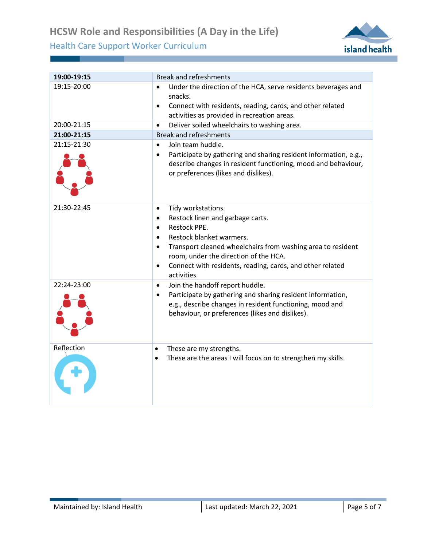

| 19:00-19:15 | <b>Break and refreshments</b>                                                                                                                                                                                                                                                                                                                                              |
|-------------|----------------------------------------------------------------------------------------------------------------------------------------------------------------------------------------------------------------------------------------------------------------------------------------------------------------------------------------------------------------------------|
| 19:15-20:00 | Under the direction of the HCA, serve residents beverages and<br>snacks.<br>Connect with residents, reading, cards, and other related<br>$\bullet$<br>activities as provided in recreation areas.                                                                                                                                                                          |
| 20:00-21:15 | Deliver soiled wheelchairs to washing area.<br>$\bullet$                                                                                                                                                                                                                                                                                                                   |
| 21:00-21:15 | <b>Break and refreshments</b>                                                                                                                                                                                                                                                                                                                                              |
| 21:15-21:30 | Join team huddle.<br>$\bullet$<br>Participate by gathering and sharing resident information, e.g.,<br>describe changes in resident functioning, mood and behaviour,<br>or preferences (likes and dislikes).                                                                                                                                                                |
| 21:30-22:45 | Tidy workstations.<br>$\bullet$<br>Restock linen and garbage carts.<br>$\bullet$<br><b>Restock PPE.</b><br>$\bullet$<br>Restock blanket warmers.<br>$\bullet$<br>Transport cleaned wheelchairs from washing area to resident<br>$\bullet$<br>room, under the direction of the HCA.<br>Connect with residents, reading, cards, and other related<br>$\bullet$<br>activities |
| 22:24-23:00 | Join the handoff report huddle.<br>$\bullet$<br>Participate by gathering and sharing resident information,<br>$\bullet$<br>e.g., describe changes in resident functioning, mood and<br>behaviour, or preferences (likes and dislikes).                                                                                                                                     |
| Reflection  | These are my strengths.<br>$\bullet$<br>These are the areas I will focus on to strengthen my skills.<br>$\bullet$                                                                                                                                                                                                                                                          |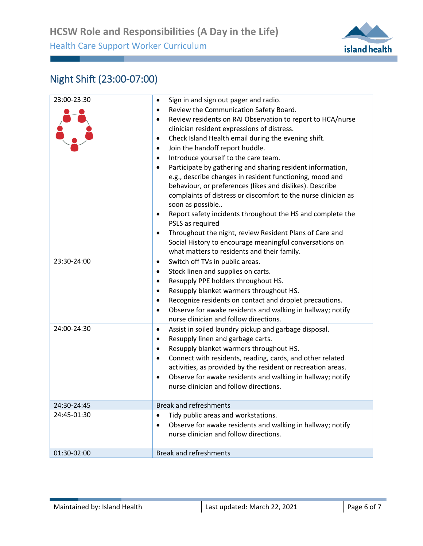

## Night Shift (23:00-07:00)

| 23:00-23:30 | Sign in and sign out pager and radio.<br>٠<br>Review the Communication Safety Board.<br>٠<br>Review residents on RAI Observation to report to HCA/nurse<br>٠<br>clinician resident expressions of distress.<br>Check Island Health email during the evening shift.<br>٠<br>Join the handoff report huddle.<br>$\bullet$<br>Introduce yourself to the care team.<br>$\bullet$<br>Participate by gathering and sharing resident information,<br>٠<br>e.g., describe changes in resident functioning, mood and<br>behaviour, or preferences (likes and dislikes). Describe<br>complaints of distress or discomfort to the nurse clinician as<br>soon as possible<br>Report safety incidents throughout the HS and complete the<br>٠<br>PSLS as required<br>Throughout the night, review Resident Plans of Care and<br>٠<br>Social History to encourage meaningful conversations on<br>what matters to residents and their family. |
|-------------|--------------------------------------------------------------------------------------------------------------------------------------------------------------------------------------------------------------------------------------------------------------------------------------------------------------------------------------------------------------------------------------------------------------------------------------------------------------------------------------------------------------------------------------------------------------------------------------------------------------------------------------------------------------------------------------------------------------------------------------------------------------------------------------------------------------------------------------------------------------------------------------------------------------------------------|
| 23:30-24:00 | Switch off TVs in public areas.<br>$\bullet$<br>Stock linen and supplies on carts.<br>٠<br>Resupply PPE holders throughout HS.<br>٠<br>Resupply blanket warmers throughout HS.<br>٠<br>Recognize residents on contact and droplet precautions.<br>٠<br>Observe for awake residents and walking in hallway; notify<br>٠<br>nurse clinician and follow directions.                                                                                                                                                                                                                                                                                                                                                                                                                                                                                                                                                               |
| 24:00-24:30 | Assist in soiled laundry pickup and garbage disposal.<br>$\bullet$<br>Resupply linen and garbage carts.<br>٠<br>Resupply blanket warmers throughout HS.<br>٠<br>Connect with residents, reading, cards, and other related<br>٠<br>activities, as provided by the resident or recreation areas.<br>Observe for awake residents and walking in hallway; notify<br>$\bullet$<br>nurse clinician and follow directions.                                                                                                                                                                                                                                                                                                                                                                                                                                                                                                            |
| 24:30-24:45 | <b>Break and refreshments</b>                                                                                                                                                                                                                                                                                                                                                                                                                                                                                                                                                                                                                                                                                                                                                                                                                                                                                                  |
| 24:45-01:30 | Tidy public areas and workstations.<br>٠<br>Observe for awake residents and walking in hallway; notify<br>nurse clinician and follow directions.                                                                                                                                                                                                                                                                                                                                                                                                                                                                                                                                                                                                                                                                                                                                                                               |
| 01:30-02:00 | <b>Break and refreshments</b>                                                                                                                                                                                                                                                                                                                                                                                                                                                                                                                                                                                                                                                                                                                                                                                                                                                                                                  |